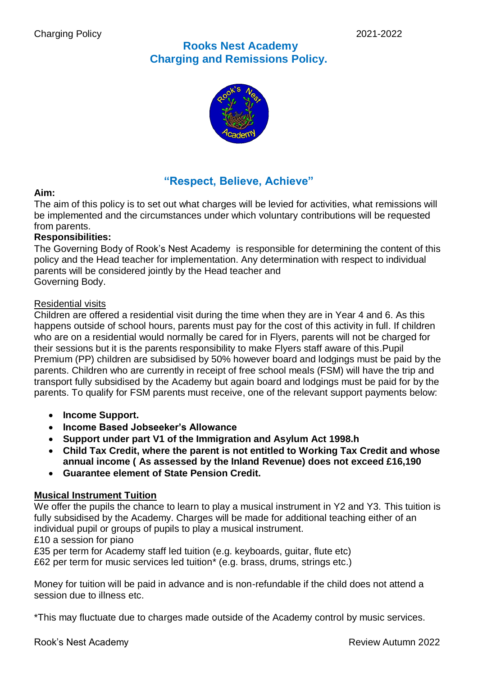# **Rooks Nest Academy Charging and Remissions Policy.**



# **"Respect, Believe, Achieve"**

# **Aim:**

The aim of this policy is to set out what charges will be levied for activities, what remissions will be implemented and the circumstances under which voluntary contributions will be requested from parents.

### **Responsibilities:**

The Governing Body of Rook's Nest Academy is responsible for determining the content of this policy and the Head teacher for implementation. Any determination with respect to individual parents will be considered jointly by the Head teacher and Governing Body.

# Residential visits

Children are offered a residential visit during the time when they are in Year 4 and 6. As this happens outside of school hours, parents must pay for the cost of this activity in full. If children who are on a residential would normally be cared for in Flyers, parents will not be charged for their sessions but it is the parents responsibility to make Flyers staff aware of this.Pupil Premium (PP) children are subsidised by 50% however board and lodgings must be paid by the parents. Children who are currently in receipt of free school meals (FSM) will have the trip and transport fully subsidised by the Academy but again board and lodgings must be paid for by the parents. To qualify for FSM parents must receive, one of the relevant support payments below:

- **Income Support.**
- **Income Based Jobseeker's Allowance**
- **Support under part V1 of the Immigration and Asylum Act 1998.h**
- **Child Tax Credit, where the parent is not entitled to Working Tax Credit and whose annual income ( As assessed by the Inland Revenue) does not exceed £16,190**
- **Guarantee element of State Pension Credit.**

# **Musical Instrument Tuition**

We offer the pupils the chance to learn to play a musical instrument in Y2 and Y3. This tuition is fully subsidised by the Academy. Charges will be made for additional teaching either of an individual pupil or groups of pupils to play a musical instrument.

£10 a session for piano

£35 per term for Academy staff led tuition (e.g. keyboards, guitar, flute etc) £62 per term for music services led tuition\* (e.g. brass, drums, strings etc.)

Money for tuition will be paid in advance and is non-refundable if the child does not attend a session due to illness etc.

\*This may fluctuate due to charges made outside of the Academy control by music services.

Rook's Nest Academy **Review Autumn 2022**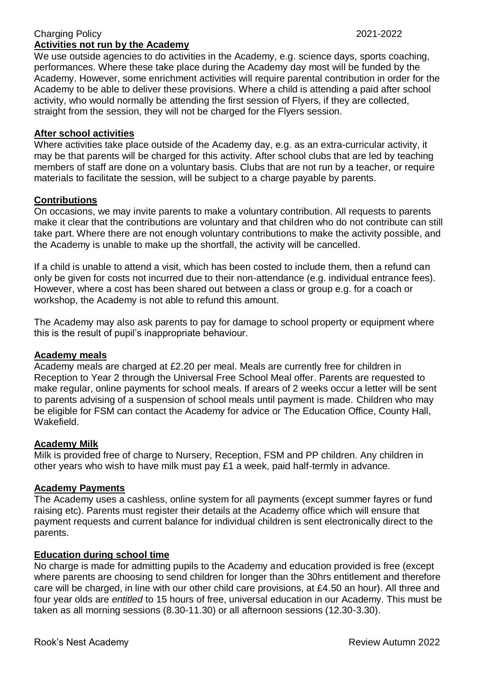#### Charging Policy 2021-2022 **Activities not run by the Academy**

We use outside agencies to do activities in the Academy, e.g. science days, sports coaching, performances. Where these take place during the Academy day most will be funded by the Academy. However, some enrichment activities will require parental contribution in order for the Academy to be able to deliver these provisions. Where a child is attending a paid after school activity, who would normally be attending the first session of Flyers, if they are collected, straight from the session, they will not be charged for the Flyers session.

### **After school activities**

Where activities take place outside of the Academy day, e.g. as an extra-curricular activity, it may be that parents will be charged for this activity. After school clubs that are led by teaching members of staff are done on a voluntary basis. Clubs that are not run by a teacher, or require materials to facilitate the session, will be subject to a charge payable by parents.

#### **Contributions**

On occasions, we may invite parents to make a voluntary contribution. All requests to parents make it clear that the contributions are voluntary and that children who do not contribute can still take part. Where there are not enough voluntary contributions to make the activity possible, and the Academy is unable to make up the shortfall, the activity will be cancelled.

If a child is unable to attend a visit, which has been costed to include them, then a refund can only be given for costs not incurred due to their non-attendance (e.g. individual entrance fees). However, where a cost has been shared out between a class or group e.g. for a coach or workshop, the Academy is not able to refund this amount.

The Academy may also ask parents to pay for damage to school property or equipment where this is the result of pupil's inappropriate behaviour.

#### **Academy meals**

Academy meals are charged at £2.20 per meal. Meals are currently free for children in Reception to Year 2 through the Universal Free School Meal offer. Parents are requested to make regular, online payments for school meals. If arears of 2 weeks occur a letter will be sent to parents advising of a suspension of school meals until payment is made. Children who may be eligible for FSM can contact the Academy for advice or The Education Office, County Hall, Wakefield.

#### **Academy Milk**

Milk is provided free of charge to Nursery, Reception, FSM and PP children. Any children in other years who wish to have milk must pay £1 a week, paid half-termly in advance.

#### **Academy Payments**

The Academy uses a cashless, online system for all payments (except summer fayres or fund raising etc). Parents must register their details at the Academy office which will ensure that payment requests and current balance for individual children is sent electronically direct to the parents.

#### **Education during school time**

No charge is made for admitting pupils to the Academy and education provided is free (except where parents are choosing to send children for longer than the 30hrs entitlement and therefore care will be charged, in line with our other child care provisions, at £4.50 an hour). All three and four year olds are *entitled* to 15 hours of free, universal education in our Academy. This must be taken as all morning sessions (8.30-11.30) or all afternoon sessions (12.30-3.30).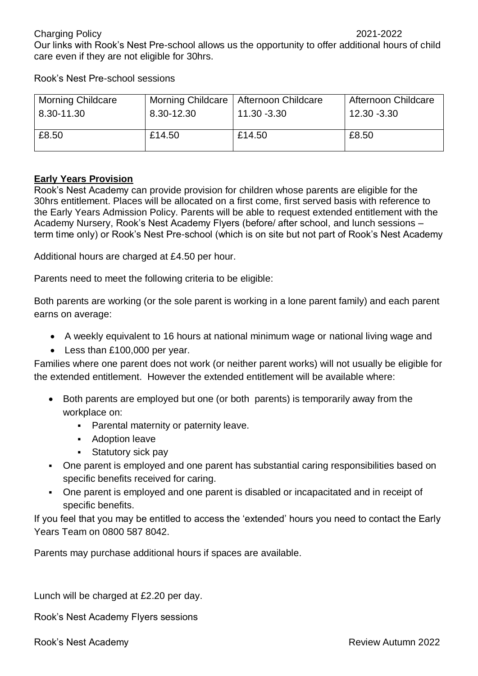Our links with Rook's Nest Pre-school allows us the opportunity to offer additional hours of child care even if they are not eligible for 30hrs.

Rook's Nest Pre-school sessions

| <b>Morning Childcare</b> | 8.30-12.30 | Morning Childcare   Afternoon Childcare | Afternoon Childcare |
|--------------------------|------------|-----------------------------------------|---------------------|
| 8.30-11.30               |            | 11.30 -3.30                             | 12.30 -3.30         |
| £8.50                    | £14.50     | £14.50                                  | £8.50               |

# **Early Years Provision**

Rook's Nest Academy can provide provision for children whose parents are eligible for the 30hrs entitlement. Places will be allocated on a first come, first served basis with reference to the Early Years Admission Policy. Parents will be able to request extended entitlement with the Academy Nursery, Rook's Nest Academy Flyers (before/ after school, and lunch sessions – term time only) or Rook's Nest Pre-school (which is on site but not part of Rook's Nest Academy

Additional hours are charged at £4.50 per hour.

Parents need to meet the following criteria to be eligible:

Both parents are working (or the sole parent is working in a lone parent family) and each parent earns on average:

- A weekly equivalent to 16 hours at national minimum wage or national living wage and
- Less than £100,000 per year.

Families where one parent does not work (or neither parent works) will not usually be eligible for the extended entitlement. However the extended entitlement will be available where:

- Both parents are employed but one (or both parents) is temporarily away from the workplace on:
	- **Parental maternity or paternity leave.**
	- **Adoption leave**
	- **Statutory sick pay**
- One parent is employed and one parent has substantial caring responsibilities based on specific benefits received for caring.
- One parent is employed and one parent is disabled or incapacitated and in receipt of specific benefits.

If you feel that you may be entitled to access the 'extended' hours you need to contact the Early Years Team on 0800 587 8042.

Parents may purchase additional hours if spaces are available.

Lunch will be charged at £2.20 per day.

Rook's Nest Academy Flyers sessions

Rook's Nest Academy **Review Autumn 2022**